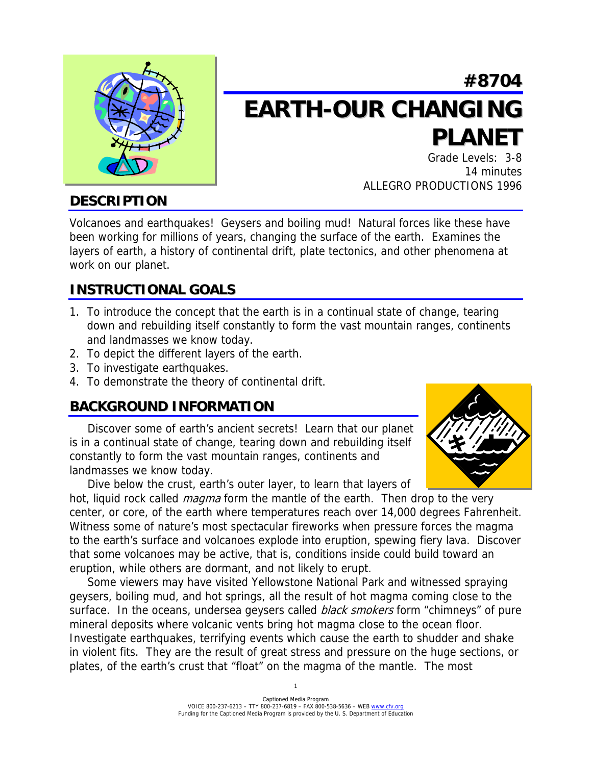

# **#8704 EARTH-OUR CHANGING PLANET**

Grade Levels: 3-8 14 minutes ALLEGRO PRODUCTIONS 1996

## **DESCRIPTION**

Volcanoes and earthquakes! Geysers and boiling mud! Natural forces like these have been working for millions of years, changing the surface of the earth. Examines the layers of earth, a history of continental drift, plate tectonics, and other phenomena at work on our planet.

# **INSTRUCTIONAL GOALS**

- 1. To introduce the concept that the earth is in a continual state of change, tearing down and rebuilding itself constantly to form the vast mountain ranges, continents and landmasses we know today.
- 2. To depict the different layers of the earth.
- 3. To investigate earthquakes.
- 4. To demonstrate the theory of continental drift.

# **BACKGROUND INFORMATION**

 Discover some of earth's ancient secrets! Learn that our planet is in a continual state of change, tearing down and rebuilding itself constantly to form the vast mountain ranges, continents and landmasses we know today.

Dive below the crust, earth's outer layer, to learn that layers of

hot, liquid rock called *magma* form the mantle of the earth. Then drop to the very center, or core, of the earth where temperatures reach over 14,000 degrees Fahrenheit. Witness some of nature's most spectacular fireworks when pressure forces the magma to the earth's surface and volcanoes explode into eruption, spewing fiery lava. Discover that some volcanoes may be active, that is, conditions inside could build toward an eruption, while others are dormant, and not likely to erupt.

 Some viewers may have visited Yellowstone National Park and witnessed spraying geysers, boiling mud, and hot springs, all the result of hot magma coming close to the surface. In the oceans, undersea geysers called *black smokers* form "chimneys" of pure mineral deposits where volcanic vents bring hot magma close to the ocean floor. Investigate earthquakes, terrifying events which cause the earth to shudder and shake in violent fits. They are the result of great stress and pressure on the huge sections, or plates, of the earth's crust that "float" on the magma of the mantle. The most

1

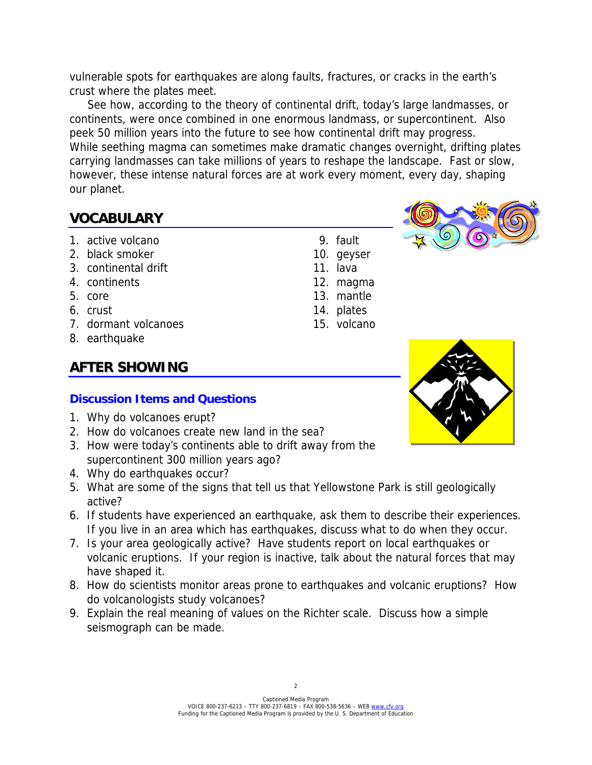vulnerable spots for earthquakes are along faults, fractures, or cracks in the earth's crust where the plates meet.

 See how, according to the theory of continental drift, today's large landmasses, or continents, were once combined in one enormous landmass, or supercontinent. Also peek 50 million years into the future to see how continental drift may progress. While seething magma can sometimes make dramatic changes overnight, drifting plates carrying landmasses can take millions of years to reshape the landscape. Fast or slow, however, these intense natural forces are at work every moment, every day, shaping our planet.

## **VOCABULARY**

- 1. active volcano 1. The set of the set of the set of the set of the set of the set of the set of the set of the set of the set of the set of the set of the set of the set of the set of the set of the set of the set of the
- 2. black smoker and the state of the 10. geyser
- 3. continental drift 11. lava
- 4. continents 12. magma
- 5. core and 13. mantle
- 6. crust 14. plates
- 7. dormant volcanoes 15. volcano
- 8. earthquake

# **AFTER SHOWING**

#### **Discussion Items and Questions**

- 1. Why do volcanoes erupt?
- 2. How do volcanoes create new land in the sea?
- 3. How were today's continents able to drift away from the supercontinent 300 million years ago?
- 4. Why do earthquakes occur?
- 5. What are some of the signs that tell us that Yellowstone Park is still geologically active?
- 6. If students have experienced an earthquake, ask them to describe their experiences. If you live in an area which has earthquakes, discuss what to do when they occur.
- 7. Is your area geologically active? Have students report on local earthquakes or volcanic eruptions. If your region is inactive, talk about the natural forces that may have shaped it.
- 8. How do scientists monitor areas prone to earthquakes and volcanic eruptions? How do volcanologists study volcanoes?
- 9. Explain the real meaning of values on the Richter scale. Discuss how a simple seismograph can be made.